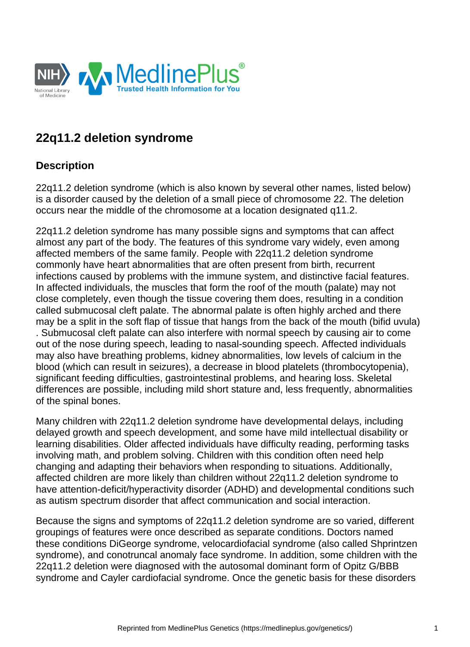

# **22q11.2 deletion syndrome**

### **Description**

22q11.2 deletion syndrome (which is also known by several other names, listed below) is a disorder caused by the deletion of a small piece of chromosome 22. The deletion occurs near the middle of the chromosome at a location designated q11.2.

22q11.2 deletion syndrome has many possible signs and symptoms that can affect almost any part of the body. The features of this syndrome vary widely, even among affected members of the same family. People with 22q11.2 deletion syndrome commonly have heart abnormalities that are often present from birth, recurrent infections caused by problems with the immune system, and distinctive facial features. In affected individuals, the muscles that form the roof of the mouth (palate) may not close completely, even though the tissue covering them does, resulting in a condition called submucosal cleft palate. The abnormal palate is often highly arched and there may be a split in the soft flap of tissue that hangs from the back of the mouth (bifid uvula) . Submucosal cleft palate can also interfere with normal speech by causing air to come out of the nose during speech, leading to nasal-sounding speech. Affected individuals may also have breathing problems, kidney abnormalities, low levels of calcium in the blood (which can result in seizures), a decrease in blood platelets (thrombocytopenia), significant feeding difficulties, gastrointestinal problems, and hearing loss. Skeletal differences are possible, including mild short stature and, less frequently, abnormalities of the spinal bones.

Many children with 22q11.2 deletion syndrome have developmental delays, including delayed growth and speech development, and some have mild intellectual disability or learning disabilities. Older affected individuals have difficulty reading, performing tasks involving math, and problem solving. Children with this condition often need help changing and adapting their behaviors when responding to situations. Additionally, affected children are more likely than children without 22q11.2 deletion syndrome to have [attention-deficit/hyperactivity disorder](https://medlineplus.gov/genetics/condition/attention-deficit-hyperactivity-disorder/) (ADHD) and developmental conditions such as [autism spectrum disorder](https://medlineplus.gov/genetics/condition/autism-spectrum-disorder/) that affect communication and social interaction.

Because the signs and symptoms of 22q11.2 deletion syndrome are so varied, different groupings of features were once described as separate conditions. Doctors named these conditions DiGeorge syndrome, velocardiofacial syndrome (also called Shprintzen syndrome), and conotruncal anomaly face syndrome. In addition, some children with the 22q11.2 deletion were diagnosed with the autosomal dominant form of [Opitz G/BBB](https://medlineplus.gov/genetics/condition/opitz-g-bbb-syndrome/)  [syndrome](https://medlineplus.gov/genetics/condition/opitz-g-bbb-syndrome/) and Cayler cardiofacial syndrome. Once the genetic basis for these disorders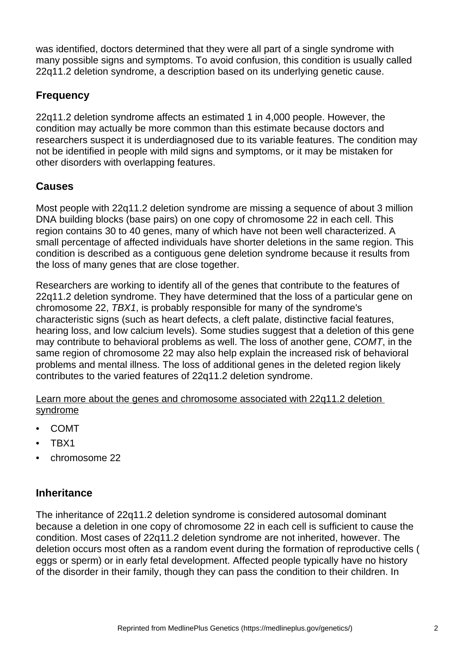was identified, doctors determined that they were all part of a single syndrome with many possible signs and symptoms. To avoid confusion, this condition is usually called 22q11.2 deletion syndrome, a description based on its underlying genetic cause.

# **Frequency**

22q11.2 deletion syndrome affects an estimated 1 in 4,000 people. However, the condition may actually be more common than this estimate because doctors and researchers suspect it is underdiagnosed due to its variable features. The condition may not be identified in people with mild signs and symptoms, or it may be mistaken for other disorders with overlapping features.

# **Causes**

Most people with 22q11.2 deletion syndrome are missing a sequence of about 3 million DNA building blocks (base pairs) on one copy of [chromosome 22](https://medlineplus.gov/genetics/chromosome/22/) in each cell. This region contains 30 to 40 genes, many of which have not been well characterized. A small percentage of affected individuals have shorter deletions in the same region. This condition is described as a contiguous gene deletion syndrome because it results from the loss of many genes that are close together.

Researchers are working to identify all of the genes that contribute to the features of 22q11.2 deletion syndrome. They have determined that the loss of a particular gene on chromosome 22, [TBX1](https://medlineplus.gov/genetics/gene/tbx1/), is probably responsible for many of the syndrome's characteristic signs (such as heart defects, a cleft palate, distinctive facial features, hearing loss, and low calcium levels). Some studies suggest that a deletion of this gene may contribute to behavioral problems as well. The loss of another gene, [COMT](https://medlineplus.gov/genetics/gene/comt/), in the same region of chromosome 22 may also help explain the increased risk of behavioral problems and mental illness. The loss of additional genes in the deleted region likely contributes to the varied features of 22q11.2 deletion syndrome.

Learn more about the genes and chromosome associated with 22q11.2 deletion **syndrome** 

- [COMT](https://medlineplus.gov/genetics/gene/comt/)
- [TBX1](https://medlineplus.gov/genetics/gene/tbx1/)
- [chromosome 22](https://medlineplus.gov/genetics/chromosome/22/)

### **Inheritance**

The inheritance of 22q11.2 deletion syndrome is considered autosomal dominant because a deletion in one copy of chromosome 22 in each cell is sufficient to cause the condition. Most cases of 22q11.2 deletion syndrome are not inherited, however. The deletion occurs most often as a random event during the formation of reproductive cells ( eggs or sperm) or in early fetal development. Affected people typically have no history of the disorder in their family, though they can pass the condition to their children. In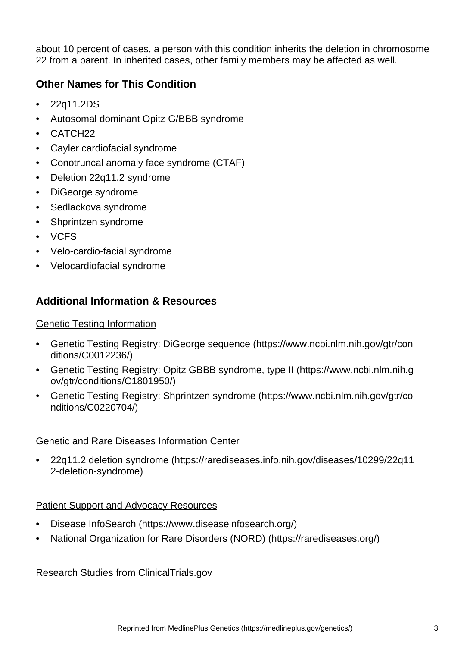about 10 percent of cases, a person with this condition inherits the deletion in chromosome 22 from a parent. In inherited cases, other family members may be affected as well.

# **Other Names for This Condition**

- 22q11.2DS
- Autosomal dominant Opitz G/BBB syndrome
- CATCH22
- Cayler cardiofacial syndrome
- Conotruncal anomaly face syndrome (CTAF)
- Deletion 22q11.2 syndrome
- DiGeorge syndrome
- Sedlackova syndrome
- Shprintzen syndrome
- VCFS
- Velo-cardio-facial syndrome
- Velocardiofacial syndrome

## **Additional Information & Resources**

#### Genetic Testing Information

- [Genetic Testing Registry: DiGeorge sequence](https://www.ncbi.nlm.nih.gov/gtr/conditions/C0012236/) (https://www.ncbi.nlm.nih.gov/gtr/con ditions/C0012236/)
- [Genetic Testing Registry: Opitz GBBB syndrome, type II](https://www.ncbi.nlm.nih.gov/gtr/conditions/C1801950/) (https://www.ncbi.nlm.nih.g ov/gtr/conditions/C1801950/)
- [Genetic Testing Registry: Shprintzen syndrome](https://www.ncbi.nlm.nih.gov/gtr/conditions/C0220704/) (https://www.ncbi.nlm.nih.gov/gtr/co nditions/C0220704/)

#### Genetic and Rare Diseases Information Center

• [22q11.2 deletion syndrome](https://rarediseases.info.nih.gov/diseases/10299/22q112-deletion-syndrome) (https://rarediseases.info.nih.gov/diseases/10299/22q11 2-deletion-syndrome)

#### Patient Support and Advocacy Resources

- [Disease InfoSearch](https://www.diseaseinfosearch.org/) (https://www.diseaseinfosearch.org/)
- [National Organization for Rare Disorders \(NORD\)](https://rarediseases.org/) (https://rarediseases.org/)

#### Research Studies from ClinicalTrials.gov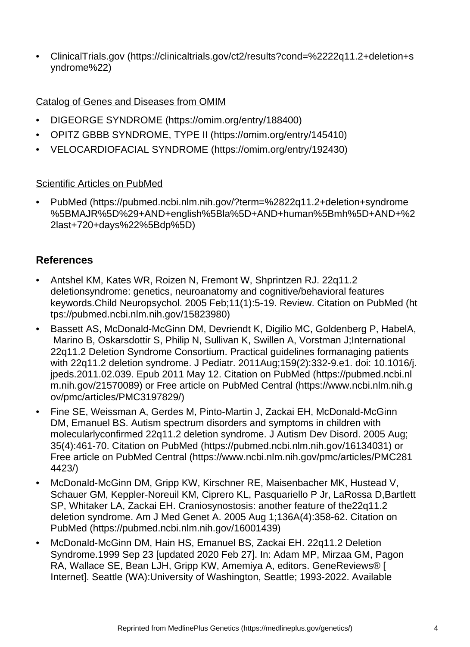• [ClinicalTrials.gov](https://clinicaltrials.gov/ct2/results?cond=%2222q11.2+deletion+syndrome%22) (https://clinicaltrials.gov/ct2/results?cond=%2222q11.2+deletion+s yndrome%22)

#### Catalog of Genes and Diseases from OMIM

- [DIGEORGE SYNDROME](https://omim.org/entry/188400) (https://omim.org/entry/188400)
- [OPITZ GBBB SYNDROME, TYPE II](https://omim.org/entry/145410) (https://omim.org/entry/145410)
- [VELOCARDIOFACIAL SYNDROME](https://omim.org/entry/192430) (https://omim.org/entry/192430)

#### Scientific Articles on PubMed

• [PubMed](https://pubmed.ncbi.nlm.nih.gov/?term=%2822q11.2+deletion+syndrome%5BMAJR%5D%29+AND+english%5Bla%5D+AND+human%5Bmh%5D+AND+%22last+720+days%22%5Bdp%5D) (https://pubmed.ncbi.nlm.nih.gov/?term=%2822q11.2+deletion+syndrome %5BMAJR%5D%29+AND+english%5Bla%5D+AND+human%5Bmh%5D+AND+%2 2last+720+days%22%5Bdp%5D)

### **References**

- Antshel KM, Kates WR, Roizen N, Fremont W, Shprintzen RJ. 22q11.2 deletionsyndrome: genetics, neuroanatomy and cognitive/behavioral features keywords.Child Neuropsychol. 2005 Feb;11(1):5-19. Review. [Citation on PubMed](https://pubmed.ncbi.nlm.nih.gov/15823980) (ht tps://pubmed.ncbi.nlm.nih.gov/15823980)
- Bassett AS, McDonald-McGinn DM, Devriendt K, Digilio MC, Goldenberg P, HabelA, Marino B, Oskarsdottir S, Philip N, Sullivan K, Swillen A, Vorstman J;International 22q11.2 Deletion Syndrome Consortium. Practical guidelines formanaging patients with 22q11.2 deletion syndrome. J Pediatr. 2011Aug;159(2):332-9.e1. doi: 10.1016/j. jpeds.2011.02.039. Epub 2011 May 12. [Citation on PubMed](https://pubmed.ncbi.nlm.nih.gov/21570089) (https://pubmed.ncbi.nl m.nih.gov/21570089) or [Free article on PubMed Central](https://www.ncbi.nlm.nih.gov/pmc/articles/PMC3197829/) (https://www.ncbi.nlm.nih.g ov/pmc/articles/PMC3197829/)
- Fine SE, Weissman A, Gerdes M, Pinto-Martin J, Zackai EH, McDonald-McGinn DM, Emanuel BS. Autism spectrum disorders and symptoms in children with molecularlyconfirmed 22q11.2 deletion syndrome. J Autism Dev Disord. 2005 Aug; 35(4):461-70. [Citation on PubMed](https://pubmed.ncbi.nlm.nih.gov/16134031) (https://pubmed.ncbi.nlm.nih.gov/16134031) or [Free article on PubMed Central](https://www.ncbi.nlm.nih.gov/pmc/articles/PMC2814423/) (https://www.ncbi.nlm.nih.gov/pmc/articles/PMC281 4423/)
- McDonald-McGinn DM, Gripp KW, Kirschner RE, Maisenbacher MK, Hustead V, Schauer GM, Keppler-Noreuil KM, Ciprero KL, Pasquariello P Jr, LaRossa D,Bartlett SP, Whitaker LA, Zackai EH. Craniosynostosis: another feature of the22q11.2 deletion syndrome. Am J Med Genet A. 2005 Aug 1;136A(4):358-62. [Citation on](https://pubmed.ncbi.nlm.nih.gov/16001439)  [PubMed](https://pubmed.ncbi.nlm.nih.gov/16001439) (https://pubmed.ncbi.nlm.nih.gov/16001439)
- McDonald-McGinn DM, Hain HS, Emanuel BS, Zackai EH. 22q11.2 Deletion Syndrome.1999 Sep 23 [updated 2020 Feb 27]. In: Adam MP, Mirzaa GM, Pagon RA, Wallace SE, Bean LJH, Gripp KW, Amemiya A, editors. GeneReviews® [ Internet]. Seattle (WA):University of Washington, Seattle; 1993-2022. Available